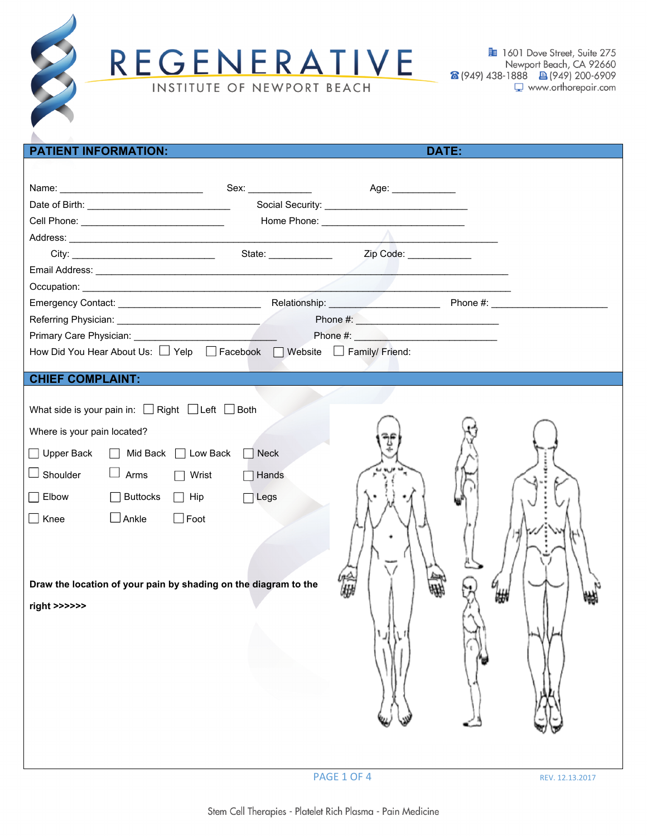

REGENERATIVE INSTITUTE OF NEWPORT BEACH

**图** 1601 Dove Street, Suite 275 Newport Beach, CA 92660 8 (949) 438-1888 图 (949) 200-6909 www.orthorepair.com

| <b>PATIENT INFORMATION:</b>                                                                  |              |                        | <b>DATE:</b> |  |  |
|----------------------------------------------------------------------------------------------|--------------|------------------------|--------------|--|--|
|                                                                                              |              |                        |              |  |  |
|                                                                                              |              |                        |              |  |  |
|                                                                                              |              |                        |              |  |  |
|                                                                                              |              |                        |              |  |  |
|                                                                                              |              |                        |              |  |  |
|                                                                                              |              | Zip Code: Victor Code: |              |  |  |
|                                                                                              |              |                        |              |  |  |
|                                                                                              |              |                        |              |  |  |
|                                                                                              |              |                        |              |  |  |
|                                                                                              |              |                        |              |  |  |
|                                                                                              |              |                        |              |  |  |
| How Did You Hear About Us: $\Box$ Yelp $\Box$ Facebook $\Box$ Website $\Box$ Family/ Friend: |              |                        |              |  |  |
| <b>CHIEF COMPLAINT:</b>                                                                      |              |                        |              |  |  |
|                                                                                              |              |                        |              |  |  |
| What side is your pain in: $\Box$ Right $\Box$ Left $\Box$ Both                              |              |                        |              |  |  |
| Where is your pain located?                                                                  |              |                        |              |  |  |
| $\Box$ Upper Back<br>□ Mid Back □ Low Back                                                   | Neck         |                        |              |  |  |
| $\lrcorner$ Shoulder<br>$\Box$ Arms $\Box$ Wrist                                             | $\Box$ Hands |                        |              |  |  |
|                                                                                              |              |                        |              |  |  |
| $\overline{\phantom{a}}$ Elbow<br>$\Box$ Buttocks $\Box$ Hip                                 | $\Box$ Legs  |                        |              |  |  |
| $\Box$ Ankle<br>$\Box$ Foot<br>$\Box$ Knee                                                   |              |                        |              |  |  |
|                                                                                              |              |                        |              |  |  |
|                                                                                              |              |                        |              |  |  |
|                                                                                              |              |                        |              |  |  |
| Draw the location of your pain by shading on the diagram to the                              |              |                        |              |  |  |
| right >>>>>>                                                                                 |              |                        |              |  |  |
|                                                                                              |              |                        |              |  |  |
|                                                                                              |              |                        |              |  |  |
|                                                                                              |              |                        |              |  |  |
|                                                                                              |              |                        |              |  |  |
|                                                                                              |              |                        |              |  |  |
|                                                                                              |              |                        |              |  |  |
|                                                                                              |              |                        |              |  |  |
|                                                                                              |              |                        |              |  |  |

PAGE 1 OF 4 REV. 12.13.2017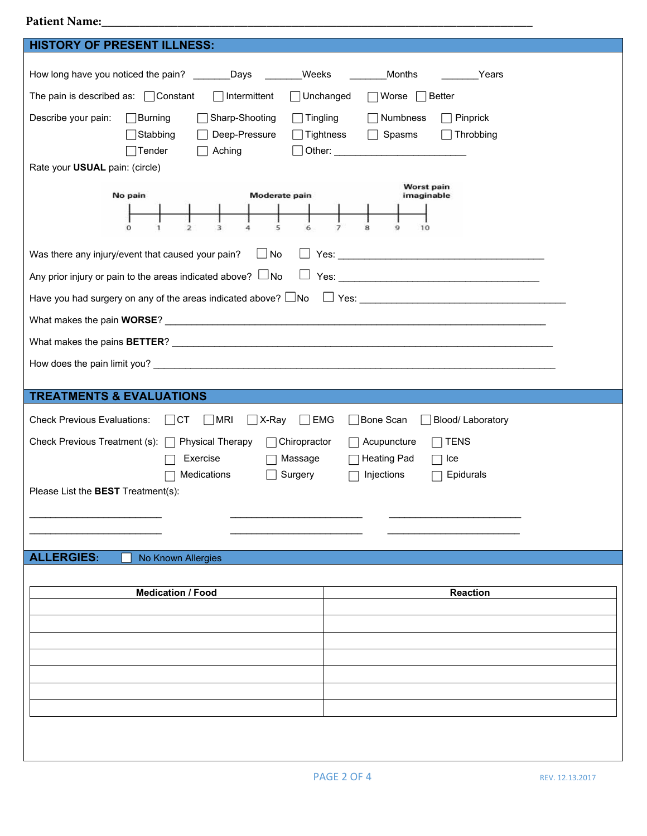## **Patient Name:\_\_\_\_\_\_\_\_\_\_\_\_\_\_\_\_\_\_\_\_\_\_\_\_\_\_\_\_\_\_\_\_\_\_\_\_\_\_\_\_\_\_\_\_\_\_\_\_\_\_\_\_\_\_\_\_\_\_\_\_\_\_\_\_\_\_\_\_**

| <b>HISTORY OF PRESENT ILLNESS:</b>                                                               |                                                                                                                                                                                                                                |  |  |  |  |
|--------------------------------------------------------------------------------------------------|--------------------------------------------------------------------------------------------------------------------------------------------------------------------------------------------------------------------------------|--|--|--|--|
| How long have you noticed the pain?<br>Weeks<br>_Days                                            | Months<br>Years                                                                                                                                                                                                                |  |  |  |  |
| The pain is described as: $\Box$ Constant<br>Intermittent<br>$\Box$ Unchanged<br>Worse<br>Better |                                                                                                                                                                                                                                |  |  |  |  |
| Describe your pain:<br>Sharp-Shooting<br>$\Box$ Tingling<br>Burning                              | Numbness<br>Pinprick                                                                                                                                                                                                           |  |  |  |  |
| Stabbing<br>Deep-Pressure<br>Tightness                                                           | Spasms<br>Throbbing                                                                                                                                                                                                            |  |  |  |  |
| Aching<br>Tender                                                                                 | Other: the contract of the contract of the contract of the contract of the contract of the contract of the contract of the contract of the contract of the contract of the contract of the contract of the contract of the con |  |  |  |  |
| Rate your USUAL pain: (circle)                                                                   |                                                                                                                                                                                                                                |  |  |  |  |
| Worst pain<br>Moderate pain<br>No pain<br>imaginable                                             |                                                                                                                                                                                                                                |  |  |  |  |
|                                                                                                  |                                                                                                                                                                                                                                |  |  |  |  |
| $\Omega$<br>$\overline{2}$<br>3<br>5<br>4<br>6                                                   | 7<br>8<br>9<br>10                                                                                                                                                                                                              |  |  |  |  |
| Was there any injury/event that caused your pain?<br>$\Box$ No                                   |                                                                                                                                                                                                                                |  |  |  |  |
| Any prior injury or pain to the areas indicated above? $\Box$ No<br>⊔                            |                                                                                                                                                                                                                                |  |  |  |  |
| Have you had surgery on any of the areas indicated above? $\Box$ No                              |                                                                                                                                                                                                                                |  |  |  |  |
|                                                                                                  |                                                                                                                                                                                                                                |  |  |  |  |
|                                                                                                  |                                                                                                                                                                                                                                |  |  |  |  |
|                                                                                                  |                                                                                                                                                                                                                                |  |  |  |  |
|                                                                                                  |                                                                                                                                                                                                                                |  |  |  |  |
| <b>TREATMENTS &amp; EVALUATIONS</b>                                                              |                                                                                                                                                                                                                                |  |  |  |  |
| <b>Check Previous Evaluations:</b><br>$\Box$ CT<br>MRI<br>$\Box$ X-Ray<br>$\blacksquare$ EMG     | Bone Scan<br>Blood/ Laboratory                                                                                                                                                                                                 |  |  |  |  |
| <b>TENS</b><br>Check Previous Treatment (s): □ Physical Therapy<br>Acupuncture<br>Chiropractor   |                                                                                                                                                                                                                                |  |  |  |  |
| Exercise<br>Massage<br><b>Heating Pad</b><br>Ice                                                 |                                                                                                                                                                                                                                |  |  |  |  |
| Medications<br>Surgery<br>Injections<br>Epidurals<br>Please List the BEST Treatment(s):          |                                                                                                                                                                                                                                |  |  |  |  |
|                                                                                                  |                                                                                                                                                                                                                                |  |  |  |  |
|                                                                                                  |                                                                                                                                                                                                                                |  |  |  |  |
|                                                                                                  |                                                                                                                                                                                                                                |  |  |  |  |
| <b>ALLERGIES:</b><br>No Known Allergies                                                          |                                                                                                                                                                                                                                |  |  |  |  |
| <b>Medication / Food</b>                                                                         | <b>Reaction</b>                                                                                                                                                                                                                |  |  |  |  |
|                                                                                                  |                                                                                                                                                                                                                                |  |  |  |  |
|                                                                                                  |                                                                                                                                                                                                                                |  |  |  |  |
|                                                                                                  |                                                                                                                                                                                                                                |  |  |  |  |
|                                                                                                  |                                                                                                                                                                                                                                |  |  |  |  |
|                                                                                                  |                                                                                                                                                                                                                                |  |  |  |  |
|                                                                                                  |                                                                                                                                                                                                                                |  |  |  |  |
|                                                                                                  |                                                                                                                                                                                                                                |  |  |  |  |
|                                                                                                  |                                                                                                                                                                                                                                |  |  |  |  |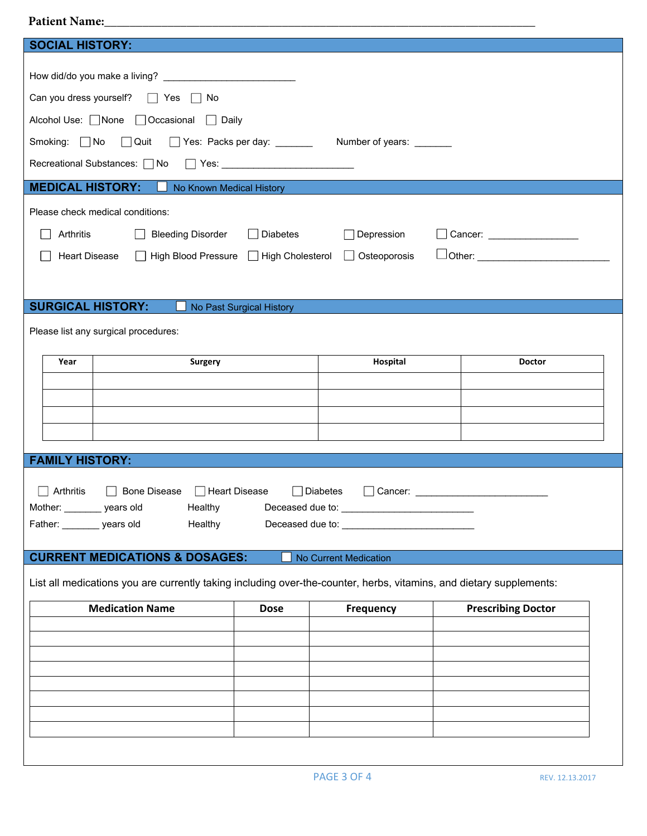## Patient Name:

| <b>SOCIAL HISTORY:</b><br>Can you dress yourself?<br>$\vert$   Yes $\vert$   No<br>Alcohol Use: None   Occasional   Daily<br>Smoking: No Quit   Yes: Packs per day: _______ Number of years: ______<br>Recreational Substances: □ No<br><b>MEDICAL HISTORY:</b><br>No Known Medical History<br>Please check medical conditions:<br>Arthritis<br><b>Bleeding Disorder</b><br>$\Box$ Diabetes<br>Depression<br>Cancer: _____________________<br><u>Dother: ___________________________</u><br>High Blood Pressure   High Cholesterol<br>□ Osteoporosis<br><b>Heart Disease</b> |  |  |  |  |  |  |
|------------------------------------------------------------------------------------------------------------------------------------------------------------------------------------------------------------------------------------------------------------------------------------------------------------------------------------------------------------------------------------------------------------------------------------------------------------------------------------------------------------------------------------------------------------------------------|--|--|--|--|--|--|
|                                                                                                                                                                                                                                                                                                                                                                                                                                                                                                                                                                              |  |  |  |  |  |  |
| <b>SURGICAL HISTORY:</b><br>No Past Surgical History<br>Please list any surgical procedures:<br>Hospital<br>Year<br><b>Surgery</b><br><b>Doctor</b><br><b>FAMILY HISTORY:</b><br>Arthritis<br><b>Bone Disease</b><br>Heart Disease<br>Diabetes<br>Cancer: and the contract of the contract of the contract of the contract of the contract of the contract of the contract of the contract of the contract of the contract of the contract of the contract of the contract of th<br>Mother: _______ years old<br>Healthy<br>Father: ________ years old<br>Healthy            |  |  |  |  |  |  |
|                                                                                                                                                                                                                                                                                                                                                                                                                                                                                                                                                                              |  |  |  |  |  |  |
|                                                                                                                                                                                                                                                                                                                                                                                                                                                                                                                                                                              |  |  |  |  |  |  |
| <b>CURRENT MEDICATIONS &amp; DOSAGES:</b><br>No Current Medication<br>List all medications you are currently taking including over-the-counter, herbs, vitamins, and dietary supplements:                                                                                                                                                                                                                                                                                                                                                                                    |  |  |  |  |  |  |
| <b>Medication Name</b><br><b>Prescribing Doctor</b><br><b>Dose</b><br><b>Frequency</b>                                                                                                                                                                                                                                                                                                                                                                                                                                                                                       |  |  |  |  |  |  |
|                                                                                                                                                                                                                                                                                                                                                                                                                                                                                                                                                                              |  |  |  |  |  |  |
|                                                                                                                                                                                                                                                                                                                                                                                                                                                                                                                                                                              |  |  |  |  |  |  |
|                                                                                                                                                                                                                                                                                                                                                                                                                                                                                                                                                                              |  |  |  |  |  |  |
|                                                                                                                                                                                                                                                                                                                                                                                                                                                                                                                                                                              |  |  |  |  |  |  |
|                                                                                                                                                                                                                                                                                                                                                                                                                                                                                                                                                                              |  |  |  |  |  |  |
|                                                                                                                                                                                                                                                                                                                                                                                                                                                                                                                                                                              |  |  |  |  |  |  |